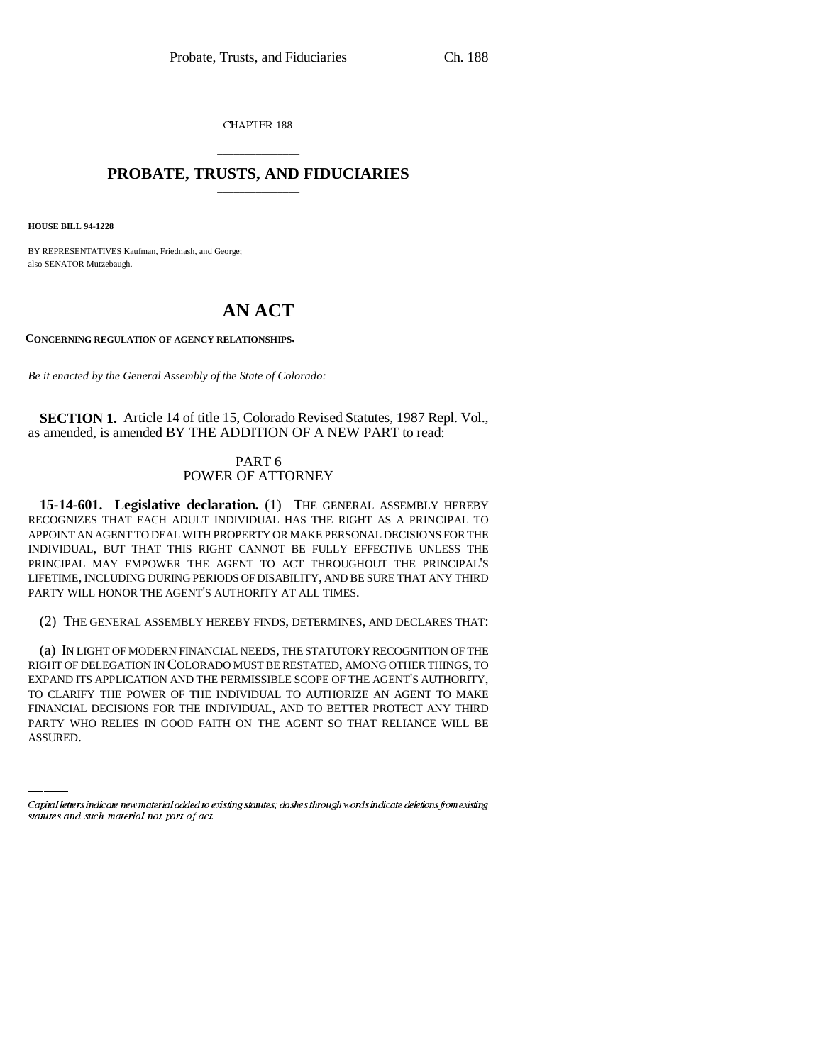CHAPTER 188

# \_\_\_\_\_\_\_\_\_\_\_\_\_\_\_ **PROBATE, TRUSTS, AND FIDUCIARIES** \_\_\_\_\_\_\_\_\_\_\_\_\_\_\_

**HOUSE BILL 94-1228**

BY REPRESENTATIVES Kaufman, Friednash, and George; also SENATOR Mutzebaugh.

# **AN ACT**

**CONCERNING REGULATION OF AGENCY RELATIONSHIPS.**

*Be it enacted by the General Assembly of the State of Colorado:*

**SECTION 1.** Article 14 of title 15, Colorado Revised Statutes, 1987 Repl. Vol., as amended, is amended BY THE ADDITION OF A NEW PART to read:

# PART 6 POWER OF ATTORNEY

**15-14-601. Legislative declaration.** (1) THE GENERAL ASSEMBLY HEREBY RECOGNIZES THAT EACH ADULT INDIVIDUAL HAS THE RIGHT AS A PRINCIPAL TO APPOINT AN AGENT TO DEAL WITH PROPERTY OR MAKE PERSONAL DECISIONS FOR THE INDIVIDUAL, BUT THAT THIS RIGHT CANNOT BE FULLY EFFECTIVE UNLESS THE PRINCIPAL MAY EMPOWER THE AGENT TO ACT THROUGHOUT THE PRINCIPAL'S LIFETIME, INCLUDING DURING PERIODS OF DISABILITY, AND BE SURE THAT ANY THIRD PARTY WILL HONOR THE AGENT'S AUTHORITY AT ALL TIMES.

(2) THE GENERAL ASSEMBLY HEREBY FINDS, DETERMINES, AND DECLARES THAT:

TO CLARIFY THE POWER OF THE INDIVIDUAL TO AUTHORIZE AN AGENT TO MAKE (a) IN LIGHT OF MODERN FINANCIAL NEEDS, THE STATUTORY RECOGNITION OF THE RIGHT OF DELEGATION IN COLORADO MUST BE RESTATED, AMONG OTHER THINGS, TO EXPAND ITS APPLICATION AND THE PERMISSIBLE SCOPE OF THE AGENT'S AUTHORITY, FINANCIAL DECISIONS FOR THE INDIVIDUAL, AND TO BETTER PROTECT ANY THIRD PARTY WHO RELIES IN GOOD FAITH ON THE AGENT SO THAT RELIANCE WILL BE ASSURED.

Capital letters indicate new material added to existing statutes; dashes through words indicate deletions from existing statutes and such material not part of act.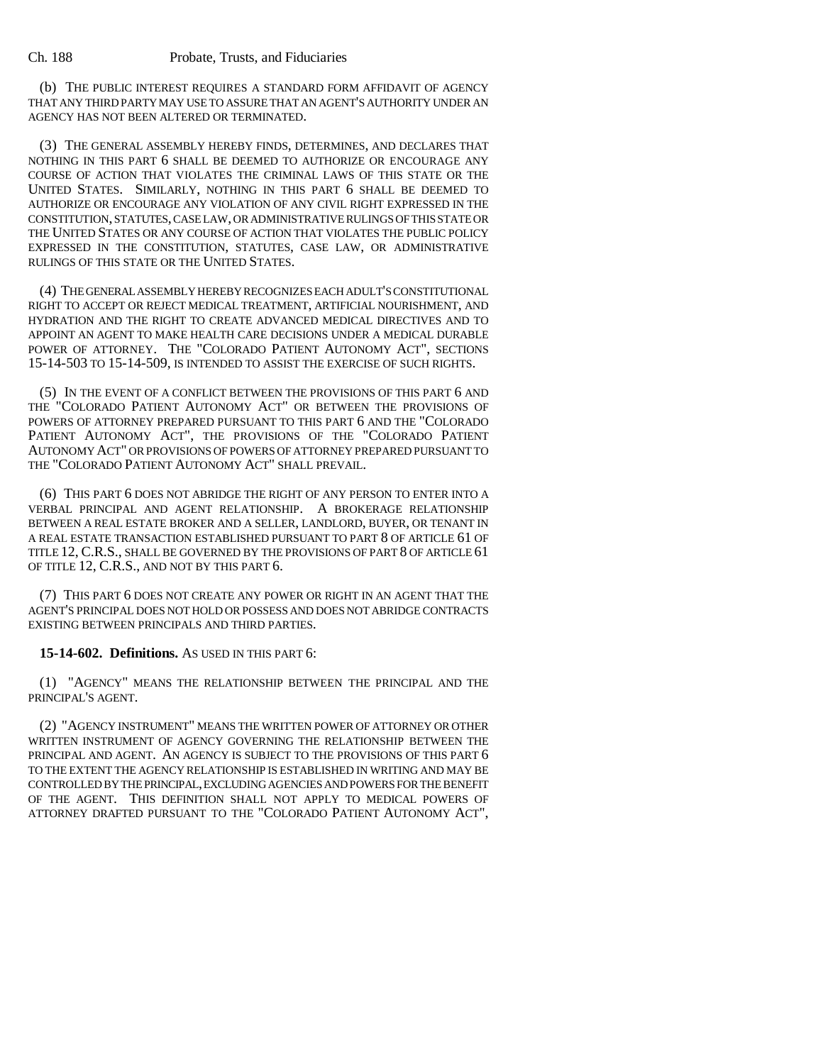(b) THE PUBLIC INTEREST REQUIRES A STANDARD FORM AFFIDAVIT OF AGENCY THAT ANY THIRD PARTY MAY USE TO ASSURE THAT AN AGENT'S AUTHORITY UNDER AN AGENCY HAS NOT BEEN ALTERED OR TERMINATED.

(3) THE GENERAL ASSEMBLY HEREBY FINDS, DETERMINES, AND DECLARES THAT NOTHING IN THIS PART 6 SHALL BE DEEMED TO AUTHORIZE OR ENCOURAGE ANY COURSE OF ACTION THAT VIOLATES THE CRIMINAL LAWS OF THIS STATE OR THE UNITED STATES. SIMILARLY, NOTHING IN THIS PART 6 SHALL BE DEEMED TO AUTHORIZE OR ENCOURAGE ANY VIOLATION OF ANY CIVIL RIGHT EXPRESSED IN THE CONSTITUTION, STATUTES, CASE LAW, OR ADMINISTRATIVE RULINGS OF THIS STATE OR THE UNITED STATES OR ANY COURSE OF ACTION THAT VIOLATES THE PUBLIC POLICY EXPRESSED IN THE CONSTITUTION, STATUTES, CASE LAW, OR ADMINISTRATIVE RULINGS OF THIS STATE OR THE UNITED STATES.

(4) THE GENERAL ASSEMBLY HEREBY RECOGNIZES EACH ADULT'S CONSTITUTIONAL RIGHT TO ACCEPT OR REJECT MEDICAL TREATMENT, ARTIFICIAL NOURISHMENT, AND HYDRATION AND THE RIGHT TO CREATE ADVANCED MEDICAL DIRECTIVES AND TO APPOINT AN AGENT TO MAKE HEALTH CARE DECISIONS UNDER A MEDICAL DURABLE POWER OF ATTORNEY. THE "COLORADO PATIENT AUTONOMY ACT", SECTIONS 15-14-503 TO 15-14-509, IS INTENDED TO ASSIST THE EXERCISE OF SUCH RIGHTS.

(5) IN THE EVENT OF A CONFLICT BETWEEN THE PROVISIONS OF THIS PART 6 AND THE "COLORADO PATIENT AUTONOMY ACT" OR BETWEEN THE PROVISIONS OF POWERS OF ATTORNEY PREPARED PURSUANT TO THIS PART 6 AND THE "COLORADO PATIENT AUTONOMY ACT", THE PROVISIONS OF THE "COLORADO PATIENT AUTONOMY ACT" OR PROVISIONS OF POWERS OF ATTORNEY PREPARED PURSUANT TO THE "COLORADO PATIENT AUTONOMY ACT" SHALL PREVAIL.

(6) THIS PART 6 DOES NOT ABRIDGE THE RIGHT OF ANY PERSON TO ENTER INTO A VERBAL PRINCIPAL AND AGENT RELATIONSHIP. A BROKERAGE RELATIONSHIP BETWEEN A REAL ESTATE BROKER AND A SELLER, LANDLORD, BUYER, OR TENANT IN A REAL ESTATE TRANSACTION ESTABLISHED PURSUANT TO PART 8 OF ARTICLE 61 OF TITLE 12, C.R.S., SHALL BE GOVERNED BY THE PROVISIONS OF PART 8 OF ARTICLE 61 OF TITLE 12, C.R.S., AND NOT BY THIS PART 6.

(7) THIS PART 6 DOES NOT CREATE ANY POWER OR RIGHT IN AN AGENT THAT THE AGENT'S PRINCIPAL DOES NOT HOLD OR POSSESS AND DOES NOT ABRIDGE CONTRACTS EXISTING BETWEEN PRINCIPALS AND THIRD PARTIES.

**15-14-602. Definitions.** AS USED IN THIS PART 6:

(1) "AGENCY" MEANS THE RELATIONSHIP BETWEEN THE PRINCIPAL AND THE PRINCIPAL'S AGENT.

(2) "AGENCY INSTRUMENT" MEANS THE WRITTEN POWER OF ATTORNEY OR OTHER WRITTEN INSTRUMENT OF AGENCY GOVERNING THE RELATIONSHIP BETWEEN THE PRINCIPAL AND AGENT. AN AGENCY IS SUBJECT TO THE PROVISIONS OF THIS PART 6 TO THE EXTENT THE AGENCY RELATIONSHIP IS ESTABLISHED IN WRITING AND MAY BE CONTROLLED BY THE PRINCIPAL, EXCLUDING AGENCIES AND POWERS FOR THE BENEFIT OF THE AGENT. THIS DEFINITION SHALL NOT APPLY TO MEDICAL POWERS OF ATTORNEY DRAFTED PURSUANT TO THE "COLORADO PATIENT AUTONOMY ACT",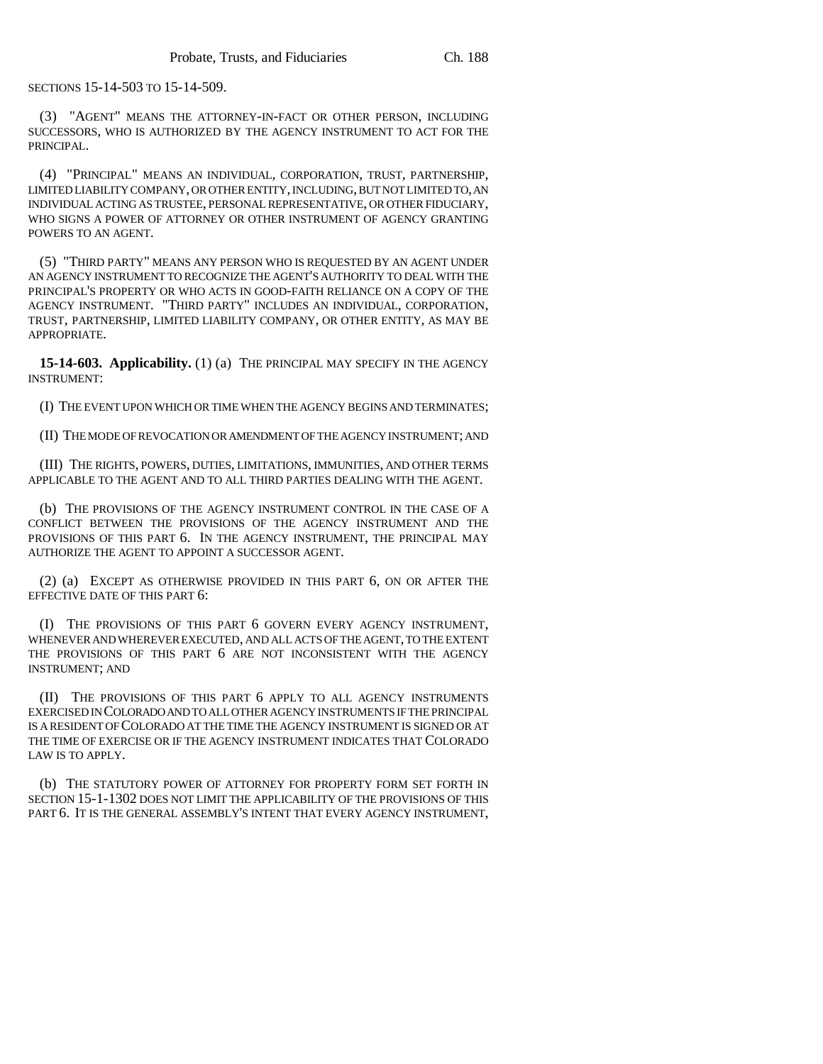SECTIONS 15-14-503 TO 15-14-509.

(3) "AGENT" MEANS THE ATTORNEY-IN-FACT OR OTHER PERSON, INCLUDING SUCCESSORS, WHO IS AUTHORIZED BY THE AGENCY INSTRUMENT TO ACT FOR THE PRINCIPAL.

(4) "PRINCIPAL" MEANS AN INDIVIDUAL, CORPORATION, TRUST, PARTNERSHIP, LIMITED LIABILITY COMPANY, OR OTHER ENTITY, INCLUDING, BUT NOT LIMITED TO, AN INDIVIDUAL ACTING AS TRUSTEE, PERSONAL REPRESENTATIVE, OR OTHER FIDUCIARY, WHO SIGNS A POWER OF ATTORNEY OR OTHER INSTRUMENT OF AGENCY GRANTING POWERS TO AN AGENT.

(5) "THIRD PARTY" MEANS ANY PERSON WHO IS REQUESTED BY AN AGENT UNDER AN AGENCY INSTRUMENT TO RECOGNIZE THE AGENT'S AUTHORITY TO DEAL WITH THE PRINCIPAL'S PROPERTY OR WHO ACTS IN GOOD-FAITH RELIANCE ON A COPY OF THE AGENCY INSTRUMENT. "THIRD PARTY" INCLUDES AN INDIVIDUAL, CORPORATION, TRUST, PARTNERSHIP, LIMITED LIABILITY COMPANY, OR OTHER ENTITY, AS MAY BE APPROPRIATE.

**15-14-603. Applicability.** (1) (a) THE PRINCIPAL MAY SPECIFY IN THE AGENCY INSTRUMENT:

(I) THE EVENT UPON WHICH OR TIME WHEN THE AGENCY BEGINS AND TERMINATES;

(II) THE MODE OF REVOCATION OR AMENDMENT OF THE AGENCY INSTRUMENT; AND

(III) THE RIGHTS, POWERS, DUTIES, LIMITATIONS, IMMUNITIES, AND OTHER TERMS APPLICABLE TO THE AGENT AND TO ALL THIRD PARTIES DEALING WITH THE AGENT.

(b) THE PROVISIONS OF THE AGENCY INSTRUMENT CONTROL IN THE CASE OF A CONFLICT BETWEEN THE PROVISIONS OF THE AGENCY INSTRUMENT AND THE PROVISIONS OF THIS PART 6. IN THE AGENCY INSTRUMENT, THE PRINCIPAL MAY AUTHORIZE THE AGENT TO APPOINT A SUCCESSOR AGENT.

(2) (a) EXCEPT AS OTHERWISE PROVIDED IN THIS PART 6, ON OR AFTER THE EFFECTIVE DATE OF THIS PART 6:

(I) THE PROVISIONS OF THIS PART 6 GOVERN EVERY AGENCY INSTRUMENT, WHENEVER AND WHEREVER EXECUTED, AND ALL ACTS OF THE AGENT, TO THE EXTENT THE PROVISIONS OF THIS PART 6 ARE NOT INCONSISTENT WITH THE AGENCY INSTRUMENT; AND

(II) THE PROVISIONS OF THIS PART 6 APPLY TO ALL AGENCY INSTRUMENTS EXERCISED IN COLORADO AND TO ALL OTHER AGENCY INSTRUMENTS IF THE PRINCIPAL IS A RESIDENT OF COLORADO AT THE TIME THE AGENCY INSTRUMENT IS SIGNED OR AT THE TIME OF EXERCISE OR IF THE AGENCY INSTRUMENT INDICATES THAT COLORADO LAW IS TO APPLY.

(b) THE STATUTORY POWER OF ATTORNEY FOR PROPERTY FORM SET FORTH IN SECTION 15-1-1302 DOES NOT LIMIT THE APPLICABILITY OF THE PROVISIONS OF THIS PART 6. IT IS THE GENERAL ASSEMBLY'S INTENT THAT EVERY AGENCY INSTRUMENT,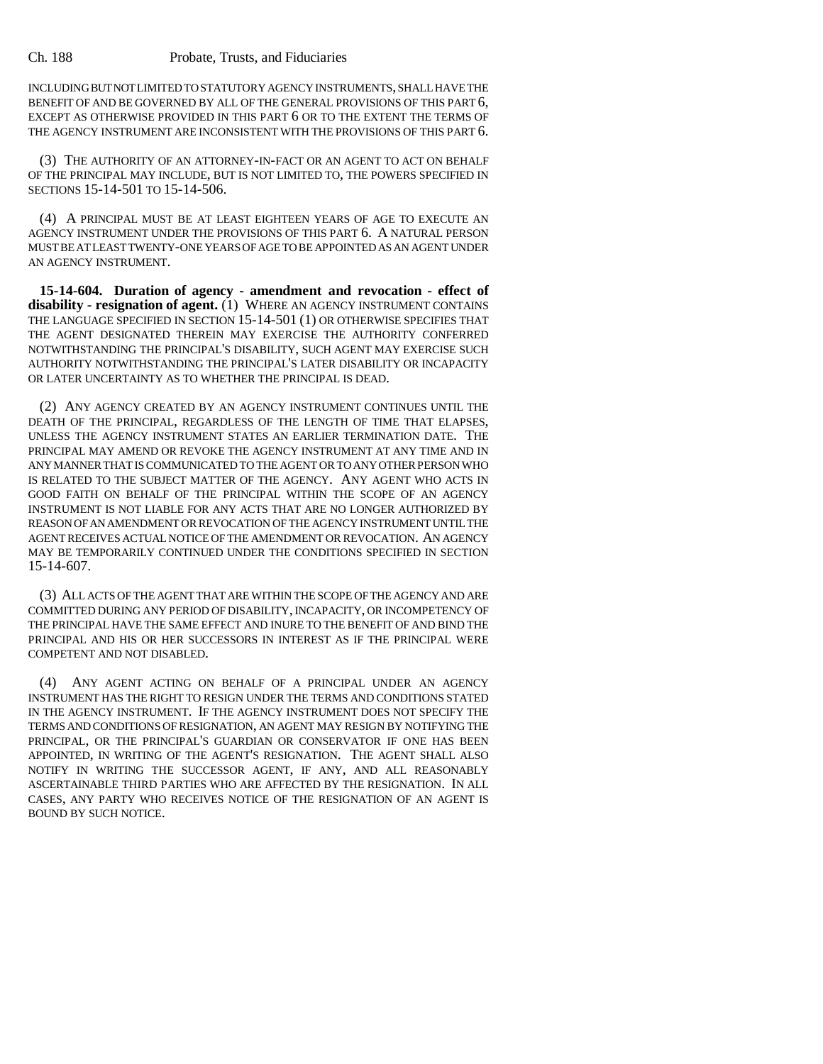INCLUDING BUT NOT LIMITED TO STATUTORY AGENCY INSTRUMENTS, SHALL HAVE THE BENEFIT OF AND BE GOVERNED BY ALL OF THE GENERAL PROVISIONS OF THIS PART 6, EXCEPT AS OTHERWISE PROVIDED IN THIS PART 6 OR TO THE EXTENT THE TERMS OF THE AGENCY INSTRUMENT ARE INCONSISTENT WITH THE PROVISIONS OF THIS PART 6.

(3) THE AUTHORITY OF AN ATTORNEY-IN-FACT OR AN AGENT TO ACT ON BEHALF OF THE PRINCIPAL MAY INCLUDE, BUT IS NOT LIMITED TO, THE POWERS SPECIFIED IN SECTIONS 15-14-501 TO 15-14-506.

(4) A PRINCIPAL MUST BE AT LEAST EIGHTEEN YEARS OF AGE TO EXECUTE AN AGENCY INSTRUMENT UNDER THE PROVISIONS OF THIS PART 6. A NATURAL PERSON MUST BE AT LEAST TWENTY-ONE YEARS OF AGE TO BE APPOINTED AS AN AGENT UNDER AN AGENCY INSTRUMENT.

**15-14-604. Duration of agency - amendment and revocation - effect of disability - resignation of agent.** (1) WHERE AN AGENCY INSTRUMENT CONTAINS THE LANGUAGE SPECIFIED IN SECTION 15-14-501 (1) OR OTHERWISE SPECIFIES THAT THE AGENT DESIGNATED THEREIN MAY EXERCISE THE AUTHORITY CONFERRED NOTWITHSTANDING THE PRINCIPAL'S DISABILITY, SUCH AGENT MAY EXERCISE SUCH AUTHORITY NOTWITHSTANDING THE PRINCIPAL'S LATER DISABILITY OR INCAPACITY OR LATER UNCERTAINTY AS TO WHETHER THE PRINCIPAL IS DEAD.

(2) ANY AGENCY CREATED BY AN AGENCY INSTRUMENT CONTINUES UNTIL THE DEATH OF THE PRINCIPAL, REGARDLESS OF THE LENGTH OF TIME THAT ELAPSES, UNLESS THE AGENCY INSTRUMENT STATES AN EARLIER TERMINATION DATE. THE PRINCIPAL MAY AMEND OR REVOKE THE AGENCY INSTRUMENT AT ANY TIME AND IN ANY MANNER THAT IS COMMUNICATED TO THE AGENT OR TO ANY OTHER PERSON WHO IS RELATED TO THE SUBJECT MATTER OF THE AGENCY. ANY AGENT WHO ACTS IN GOOD FAITH ON BEHALF OF THE PRINCIPAL WITHIN THE SCOPE OF AN AGENCY INSTRUMENT IS NOT LIABLE FOR ANY ACTS THAT ARE NO LONGER AUTHORIZED BY REASON OF AN AMENDMENT OR REVOCATION OF THE AGENCY INSTRUMENT UNTIL THE AGENT RECEIVES ACTUAL NOTICE OF THE AMENDMENT OR REVOCATION. AN AGENCY MAY BE TEMPORARILY CONTINUED UNDER THE CONDITIONS SPECIFIED IN SECTION 15-14-607.

(3) ALL ACTS OF THE AGENT THAT ARE WITHIN THE SCOPE OF THE AGENCY AND ARE COMMITTED DURING ANY PERIOD OF DISABILITY, INCAPACITY, OR INCOMPETENCY OF THE PRINCIPAL HAVE THE SAME EFFECT AND INURE TO THE BENEFIT OF AND BIND THE PRINCIPAL AND HIS OR HER SUCCESSORS IN INTEREST AS IF THE PRINCIPAL WERE COMPETENT AND NOT DISABLED.

(4) ANY AGENT ACTING ON BEHALF OF A PRINCIPAL UNDER AN AGENCY INSTRUMENT HAS THE RIGHT TO RESIGN UNDER THE TERMS AND CONDITIONS STATED IN THE AGENCY INSTRUMENT. IF THE AGENCY INSTRUMENT DOES NOT SPECIFY THE TERMS AND CONDITIONS OF RESIGNATION, AN AGENT MAY RESIGN BY NOTIFYING THE PRINCIPAL, OR THE PRINCIPAL'S GUARDIAN OR CONSERVATOR IF ONE HAS BEEN APPOINTED, IN WRITING OF THE AGENT'S RESIGNATION. THE AGENT SHALL ALSO NOTIFY IN WRITING THE SUCCESSOR AGENT, IF ANY, AND ALL REASONABLY ASCERTAINABLE THIRD PARTIES WHO ARE AFFECTED BY THE RESIGNATION. IN ALL CASES, ANY PARTY WHO RECEIVES NOTICE OF THE RESIGNATION OF AN AGENT IS BOUND BY SUCH NOTICE.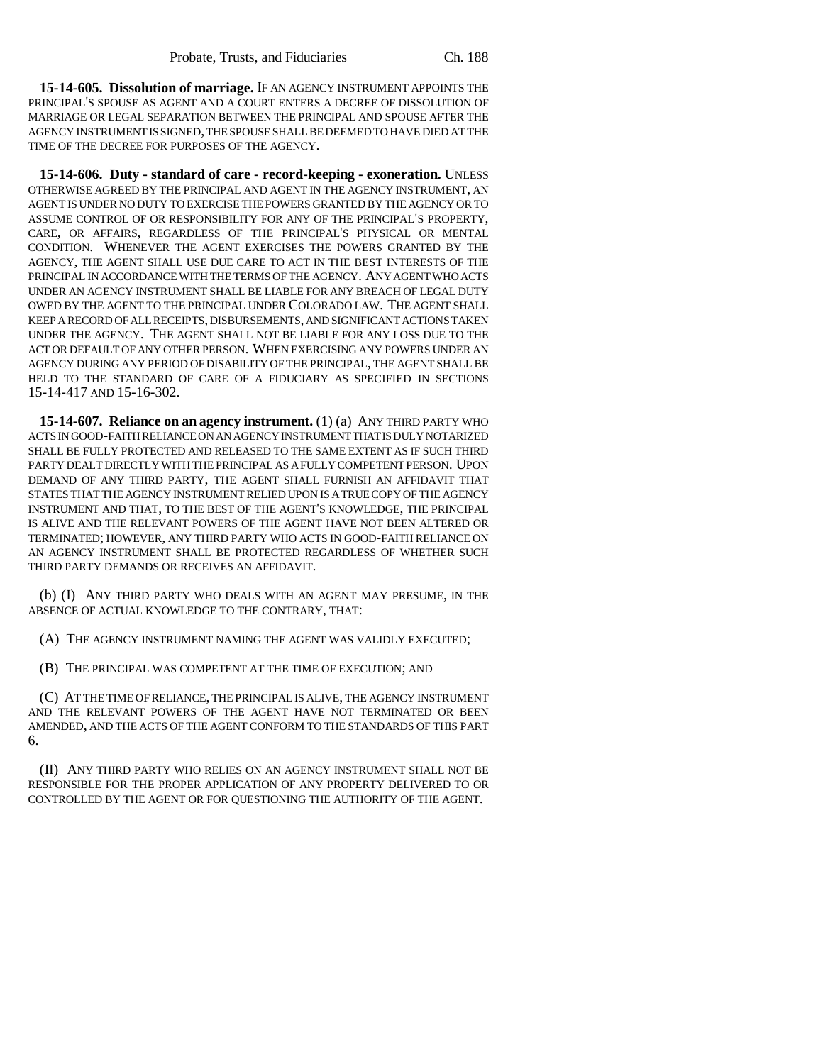**15-14-605. Dissolution of marriage.** IF AN AGENCY INSTRUMENT APPOINTS THE PRINCIPAL'S SPOUSE AS AGENT AND A COURT ENTERS A DECREE OF DISSOLUTION OF MARRIAGE OR LEGAL SEPARATION BETWEEN THE PRINCIPAL AND SPOUSE AFTER THE AGENCY INSTRUMENT IS SIGNED, THE SPOUSE SHALL BE DEEMED TO HAVE DIED AT THE TIME OF THE DECREE FOR PURPOSES OF THE AGENCY.

**15-14-606. Duty - standard of care - record-keeping - exoneration.** UNLESS OTHERWISE AGREED BY THE PRINCIPAL AND AGENT IN THE AGENCY INSTRUMENT, AN AGENT IS UNDER NO DUTY TO EXERCISE THE POWERS GRANTED BY THE AGENCY OR TO ASSUME CONTROL OF OR RESPONSIBILITY FOR ANY OF THE PRINCIPAL'S PROPERTY, CARE, OR AFFAIRS, REGARDLESS OF THE PRINCIPAL'S PHYSICAL OR MENTAL CONDITION. WHENEVER THE AGENT EXERCISES THE POWERS GRANTED BY THE AGENCY, THE AGENT SHALL USE DUE CARE TO ACT IN THE BEST INTERESTS OF THE PRINCIPAL IN ACCORDANCE WITH THE TERMS OF THE AGENCY. ANY AGENT WHO ACTS UNDER AN AGENCY INSTRUMENT SHALL BE LIABLE FOR ANY BREACH OF LEGAL DUTY OWED BY THE AGENT TO THE PRINCIPAL UNDER COLORADO LAW. THE AGENT SHALL KEEP A RECORD OF ALL RECEIPTS, DISBURSEMENTS, AND SIGNIFICANT ACTIONS TAKEN UNDER THE AGENCY. THE AGENT SHALL NOT BE LIABLE FOR ANY LOSS DUE TO THE ACT OR DEFAULT OF ANY OTHER PERSON. WHEN EXERCISING ANY POWERS UNDER AN AGENCY DURING ANY PERIOD OF DISABILITY OF THE PRINCIPAL, THE AGENT SHALL BE HELD TO THE STANDARD OF CARE OF A FIDUCIARY AS SPECIFIED IN SECTIONS 15-14-417 AND 15-16-302.

**15-14-607. Reliance on an agency instrument.** (1) (a) ANY THIRD PARTY WHO ACTS IN GOOD-FAITH RELIANCE ON AN AGENCY INSTRUMENT THAT IS DULY NOTARIZED SHALL BE FULLY PROTECTED AND RELEASED TO THE SAME EXTENT AS IF SUCH THIRD PARTY DEALT DIRECTLY WITH THE PRINCIPAL AS A FULLY COMPETENT PERSON. UPON DEMAND OF ANY THIRD PARTY, THE AGENT SHALL FURNISH AN AFFIDAVIT THAT STATES THAT THE AGENCY INSTRUMENT RELIED UPON IS A TRUE COPY OF THE AGENCY INSTRUMENT AND THAT, TO THE BEST OF THE AGENT'S KNOWLEDGE, THE PRINCIPAL IS ALIVE AND THE RELEVANT POWERS OF THE AGENT HAVE NOT BEEN ALTERED OR TERMINATED; HOWEVER, ANY THIRD PARTY WHO ACTS IN GOOD-FAITH RELIANCE ON AN AGENCY INSTRUMENT SHALL BE PROTECTED REGARDLESS OF WHETHER SUCH THIRD PARTY DEMANDS OR RECEIVES AN AFFIDAVIT.

(b) (I) ANY THIRD PARTY WHO DEALS WITH AN AGENT MAY PRESUME, IN THE ABSENCE OF ACTUAL KNOWLEDGE TO THE CONTRARY, THAT:

(A) THE AGENCY INSTRUMENT NAMING THE AGENT WAS VALIDLY EXECUTED;

(B) THE PRINCIPAL WAS COMPETENT AT THE TIME OF EXECUTION; AND

(C) AT THE TIME OF RELIANCE, THE PRINCIPAL IS ALIVE, THE AGENCY INSTRUMENT AND THE RELEVANT POWERS OF THE AGENT HAVE NOT TERMINATED OR BEEN AMENDED, AND THE ACTS OF THE AGENT CONFORM TO THE STANDARDS OF THIS PART 6.

(II) ANY THIRD PARTY WHO RELIES ON AN AGENCY INSTRUMENT SHALL NOT BE RESPONSIBLE FOR THE PROPER APPLICATION OF ANY PROPERTY DELIVERED TO OR CONTROLLED BY THE AGENT OR FOR QUESTIONING THE AUTHORITY OF THE AGENT.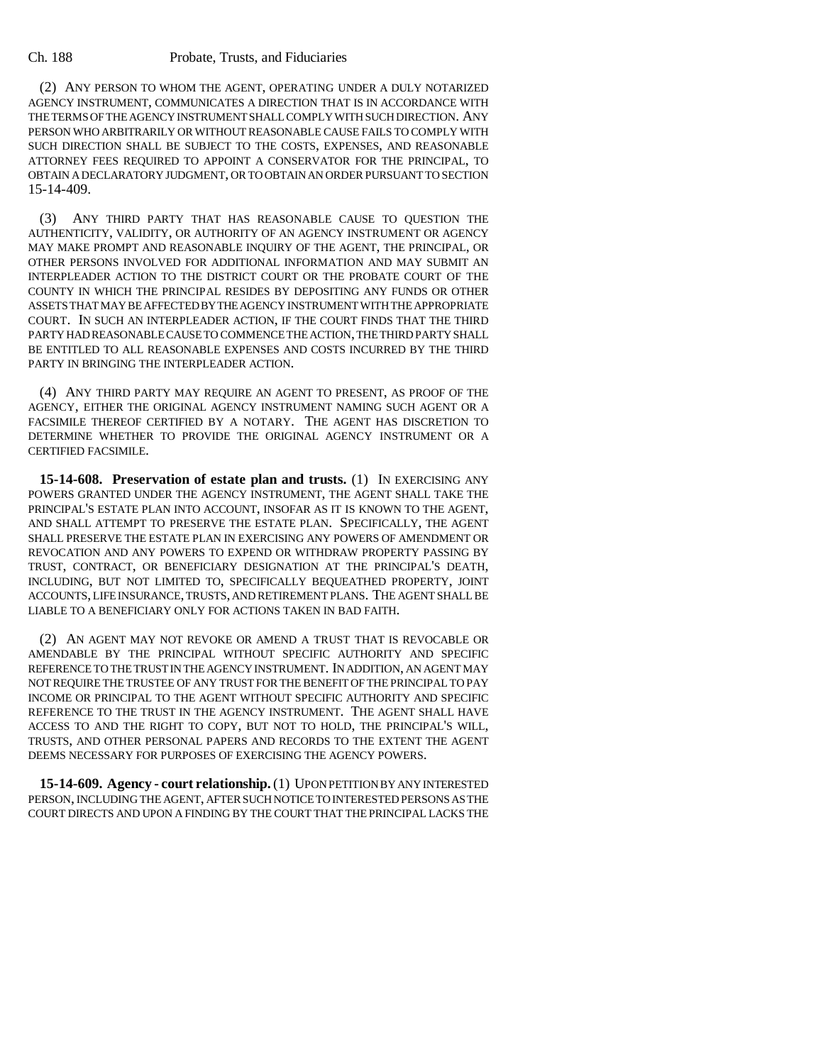(2) ANY PERSON TO WHOM THE AGENT, OPERATING UNDER A DULY NOTARIZED AGENCY INSTRUMENT, COMMUNICATES A DIRECTION THAT IS IN ACCORDANCE WITH THE TERMS OF THE AGENCY INSTRUMENT SHALL COMPLY WITH SUCH DIRECTION. ANY PERSON WHO ARBITRARILY OR WITHOUT REASONABLE CAUSE FAILS TO COMPLY WITH SUCH DIRECTION SHALL BE SUBJECT TO THE COSTS, EXPENSES, AND REASONABLE ATTORNEY FEES REQUIRED TO APPOINT A CONSERVATOR FOR THE PRINCIPAL, TO OBTAIN A DECLARATORY JUDGMENT, OR TO OBTAIN AN ORDER PURSUANT TO SECTION 15-14-409.

(3) ANY THIRD PARTY THAT HAS REASONABLE CAUSE TO QUESTION THE AUTHENTICITY, VALIDITY, OR AUTHORITY OF AN AGENCY INSTRUMENT OR AGENCY MAY MAKE PROMPT AND REASONABLE INQUIRY OF THE AGENT, THE PRINCIPAL, OR OTHER PERSONS INVOLVED FOR ADDITIONAL INFORMATION AND MAY SUBMIT AN INTERPLEADER ACTION TO THE DISTRICT COURT OR THE PROBATE COURT OF THE COUNTY IN WHICH THE PRINCIPAL RESIDES BY DEPOSITING ANY FUNDS OR OTHER ASSETS THAT MAY BE AFFECTED BY THE AGENCY INSTRUMENT WITH THE APPROPRIATE COURT. IN SUCH AN INTERPLEADER ACTION, IF THE COURT FINDS THAT THE THIRD PARTY HAD REASONABLE CAUSE TO COMMENCE THE ACTION, THE THIRD PARTY SHALL BE ENTITLED TO ALL REASONABLE EXPENSES AND COSTS INCURRED BY THE THIRD PARTY IN BRINGING THE INTERPLEADER ACTION.

(4) ANY THIRD PARTY MAY REQUIRE AN AGENT TO PRESENT, AS PROOF OF THE AGENCY, EITHER THE ORIGINAL AGENCY INSTRUMENT NAMING SUCH AGENT OR A FACSIMILE THEREOF CERTIFIED BY A NOTARY. THE AGENT HAS DISCRETION TO DETERMINE WHETHER TO PROVIDE THE ORIGINAL AGENCY INSTRUMENT OR A CERTIFIED FACSIMILE.

**15-14-608. Preservation of estate plan and trusts.** (1) IN EXERCISING ANY POWERS GRANTED UNDER THE AGENCY INSTRUMENT, THE AGENT SHALL TAKE THE PRINCIPAL'S ESTATE PLAN INTO ACCOUNT, INSOFAR AS IT IS KNOWN TO THE AGENT, AND SHALL ATTEMPT TO PRESERVE THE ESTATE PLAN. SPECIFICALLY, THE AGENT SHALL PRESERVE THE ESTATE PLAN IN EXERCISING ANY POWERS OF AMENDMENT OR REVOCATION AND ANY POWERS TO EXPEND OR WITHDRAW PROPERTY PASSING BY TRUST, CONTRACT, OR BENEFICIARY DESIGNATION AT THE PRINCIPAL'S DEATH, INCLUDING, BUT NOT LIMITED TO, SPECIFICALLY BEQUEATHED PROPERTY, JOINT ACCOUNTS, LIFE INSURANCE, TRUSTS, AND RETIREMENT PLANS. THE AGENT SHALL BE LIABLE TO A BENEFICIARY ONLY FOR ACTIONS TAKEN IN BAD FAITH.

(2) AN AGENT MAY NOT REVOKE OR AMEND A TRUST THAT IS REVOCABLE OR AMENDABLE BY THE PRINCIPAL WITHOUT SPECIFIC AUTHORITY AND SPECIFIC REFERENCE TO THE TRUST IN THE AGENCY INSTRUMENT. IN ADDITION, AN AGENT MAY NOT REQUIRE THE TRUSTEE OF ANY TRUST FOR THE BENEFIT OF THE PRINCIPAL TO PAY INCOME OR PRINCIPAL TO THE AGENT WITHOUT SPECIFIC AUTHORITY AND SPECIFIC REFERENCE TO THE TRUST IN THE AGENCY INSTRUMENT. THE AGENT SHALL HAVE ACCESS TO AND THE RIGHT TO COPY, BUT NOT TO HOLD, THE PRINCIPAL'S WILL, TRUSTS, AND OTHER PERSONAL PAPERS AND RECORDS TO THE EXTENT THE AGENT DEEMS NECESSARY FOR PURPOSES OF EXERCISING THE AGENCY POWERS.

**15-14-609. Agency - court relationship.** (1) UPON PETITION BY ANY INTERESTED PERSON, INCLUDING THE AGENT, AFTER SUCH NOTICE TO INTERESTED PERSONS AS THE COURT DIRECTS AND UPON A FINDING BY THE COURT THAT THE PRINCIPAL LACKS THE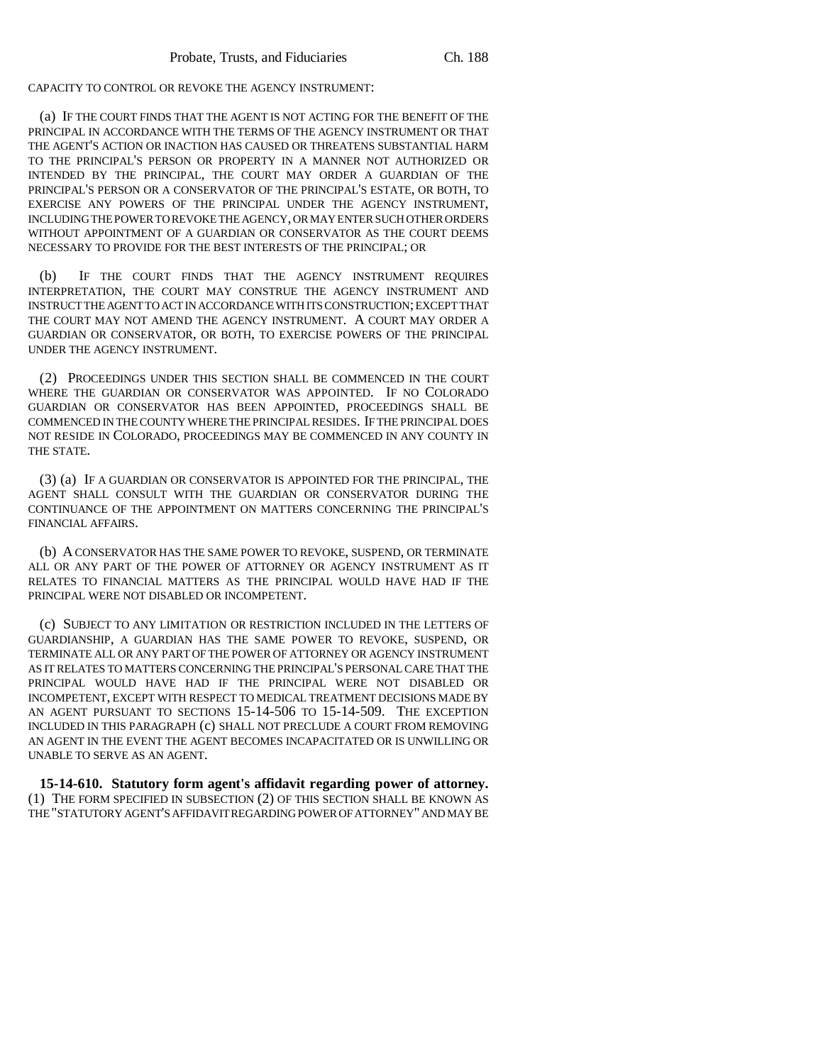CAPACITY TO CONTROL OR REVOKE THE AGENCY INSTRUMENT:

(a) IF THE COURT FINDS THAT THE AGENT IS NOT ACTING FOR THE BENEFIT OF THE PRINCIPAL IN ACCORDANCE WITH THE TERMS OF THE AGENCY INSTRUMENT OR THAT THE AGENT'S ACTION OR INACTION HAS CAUSED OR THREATENS SUBSTANTIAL HARM TO THE PRINCIPAL'S PERSON OR PROPERTY IN A MANNER NOT AUTHORIZED OR INTENDED BY THE PRINCIPAL, THE COURT MAY ORDER A GUARDIAN OF THE PRINCIPAL'S PERSON OR A CONSERVATOR OF THE PRINCIPAL'S ESTATE, OR BOTH, TO EXERCISE ANY POWERS OF THE PRINCIPAL UNDER THE AGENCY INSTRUMENT, INCLUDING THE POWER TO REVOKE THE AGENCY, OR MAY ENTER SUCH OTHER ORDERS WITHOUT APPOINTMENT OF A GUARDIAN OR CONSERVATOR AS THE COURT DEEMS NECESSARY TO PROVIDE FOR THE BEST INTERESTS OF THE PRINCIPAL; OR

(b) IF THE COURT FINDS THAT THE AGENCY INSTRUMENT REQUIRES INTERPRETATION, THE COURT MAY CONSTRUE THE AGENCY INSTRUMENT AND INSTRUCT THE AGENT TO ACT IN ACCORDANCE WITH ITS CONSTRUCTION; EXCEPT THAT THE COURT MAY NOT AMEND THE AGENCY INSTRUMENT. A COURT MAY ORDER A GUARDIAN OR CONSERVATOR, OR BOTH, TO EXERCISE POWERS OF THE PRINCIPAL UNDER THE AGENCY INSTRUMENT.

(2) PROCEEDINGS UNDER THIS SECTION SHALL BE COMMENCED IN THE COURT WHERE THE GUARDIAN OR CONSERVATOR WAS APPOINTED. IF NO COLORADO GUARDIAN OR CONSERVATOR HAS BEEN APPOINTED, PROCEEDINGS SHALL BE COMMENCED IN THE COUNTY WHERE THE PRINCIPAL RESIDES. IF THE PRINCIPAL DOES NOT RESIDE IN COLORADO, PROCEEDINGS MAY BE COMMENCED IN ANY COUNTY IN THE STATE.

(3) (a) IF A GUARDIAN OR CONSERVATOR IS APPOINTED FOR THE PRINCIPAL, THE AGENT SHALL CONSULT WITH THE GUARDIAN OR CONSERVATOR DURING THE CONTINUANCE OF THE APPOINTMENT ON MATTERS CONCERNING THE PRINCIPAL'S FINANCIAL AFFAIRS.

(b) A CONSERVATOR HAS THE SAME POWER TO REVOKE, SUSPEND, OR TERMINATE ALL OR ANY PART OF THE POWER OF ATTORNEY OR AGENCY INSTRUMENT AS IT RELATES TO FINANCIAL MATTERS AS THE PRINCIPAL WOULD HAVE HAD IF THE PRINCIPAL WERE NOT DISABLED OR INCOMPETENT.

(c) SUBJECT TO ANY LIMITATION OR RESTRICTION INCLUDED IN THE LETTERS OF GUARDIANSHIP, A GUARDIAN HAS THE SAME POWER TO REVOKE, SUSPEND, OR TERMINATE ALL OR ANY PART OF THE POWER OF ATTORNEY OR AGENCY INSTRUMENT AS IT RELATES TO MATTERS CONCERNING THE PRINCIPAL'S PERSONAL CARE THAT THE PRINCIPAL WOULD HAVE HAD IF THE PRINCIPAL WERE NOT DISABLED OR INCOMPETENT, EXCEPT WITH RESPECT TO MEDICAL TREATMENT DECISIONS MADE BY AN AGENT PURSUANT TO SECTIONS 15-14-506 TO 15-14-509. THE EXCEPTION INCLUDED IN THIS PARAGRAPH (c) SHALL NOT PRECLUDE A COURT FROM REMOVING AN AGENT IN THE EVENT THE AGENT BECOMES INCAPACITATED OR IS UNWILLING OR UNABLE TO SERVE AS AN AGENT.

**15-14-610. Statutory form agent's affidavit regarding power of attorney.** (1) THE FORM SPECIFIED IN SUBSECTION (2) OF THIS SECTION SHALL BE KNOWN AS THE "STATUTORY AGENT'S AFFIDAVIT REGARDING POWER OF ATTORNEY" AND MAY BE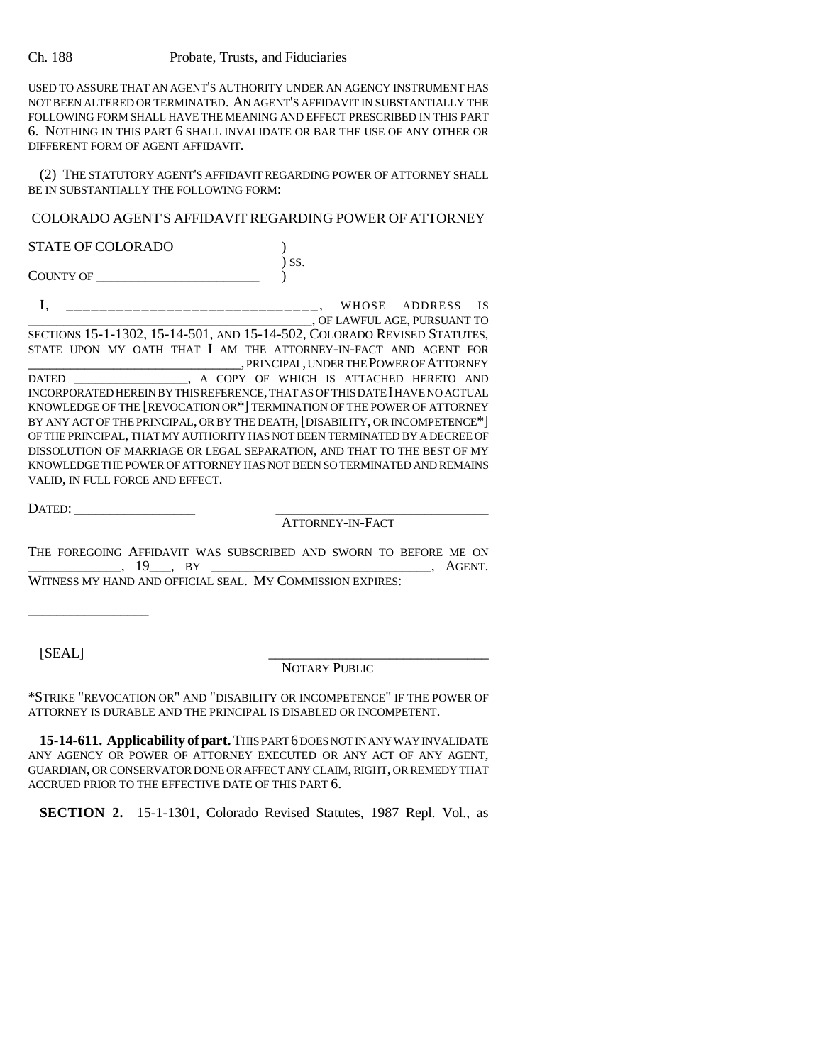USED TO ASSURE THAT AN AGENT'S AUTHORITY UNDER AN AGENCY INSTRUMENT HAS NOT BEEN ALTERED OR TERMINATED. AN AGENT'S AFFIDAVIT IN SUBSTANTIALLY THE FOLLOWING FORM SHALL HAVE THE MEANING AND EFFECT PRESCRIBED IN THIS PART 6. NOTHING IN THIS PART 6 SHALL INVALIDATE OR BAR THE USE OF ANY OTHER OR DIFFERENT FORM OF AGENT AFFIDAVIT.

(2) THE STATUTORY AGENT'S AFFIDAVIT REGARDING POWER OF ATTORNEY SHALL BE IN SUBSTANTIALLY THE FOLLOWING FORM:

COLORADO AGENT'S AFFIDAVIT REGARDING POWER OF ATTORNEY

) SS.  $\begin{array}{c} \text{COUNTY OF} \\ \hline \end{array}$ 

I, \_\_\_\_\_\_\_\_\_\_\_\_\_\_\_\_\_\_\_\_\_\_\_\_\_\_\_\_\_\_, WHOSE ADDRESS IS \_\_\_\_\_\_\_\_\_\_\_\_\_\_\_\_\_\_\_\_\_\_\_\_\_\_\_\_\_\_\_\_\_\_\_\_\_\_\_\_, OF LAWFUL AGE, PURSUANT TO SECTIONS 15-1-1302, 15-14-501, AND 15-14-502, COLORADO REVISED STATUTES, STATE UPON MY OATH THAT I AM THE ATTORNEY-IN-FACT AND AGENT FOR THE POWER OF ATTORNEY DATED AND A COPY OF WHICH IS ATTACHED HERETO AND DATED LETTER AND A COPY OF WHICH IS ATTACHED HERETO AND INCORPORATED HEREIN BY THIS REFERENCE, THAT AS OF THIS DATE I HAVE NO ACTUAL KNOWLEDGE OF THE [REVOCATION OR\*] TERMINATION OF THE POWER OF ATTORNEY BY ANY ACT OF THE PRINCIPAL, OR BY THE DEATH,[DISABILITY, OR INCOMPETENCE\*] OF THE PRINCIPAL, THAT MY AUTHORITY HAS NOT BEEN TERMINATED BY A DECREE OF DISSOLUTION OF MARRIAGE OR LEGAL SEPARATION, AND THAT TO THE BEST OF MY KNOWLEDGE THE POWER OF ATTORNEY HAS NOT BEEN SO TERMINATED AND REMAINS VALID, IN FULL FORCE AND EFFECT.

DATED: \_\_\_\_\_\_\_\_\_\_\_\_\_\_\_\_\_ \_\_\_\_\_\_\_\_\_\_\_\_\_\_\_\_\_\_\_\_\_\_\_\_\_\_\_\_\_\_

ATTORNEY-IN-FACT

THE FOREGOING AFFIDAVIT WAS SUBSCRIBED AND SWORN TO BEFORE ME ON \_\_\_\_\_\_\_\_\_\_\_\_\_, 19\_\_\_, BY \_\_\_\_\_\_\_\_\_\_\_\_\_\_\_\_\_\_\_\_\_\_\_\_\_\_\_\_\_\_\_, AGENT. WITNESS MY HAND AND OFFICIAL SEAL. MY COMMISSION EXPIRES:

 $[SEAL]$ 

\_\_\_\_\_\_\_\_\_\_\_\_\_\_\_\_\_

NOTARY PUBLIC

\*STRIKE "REVOCATION OR" AND "DISABILITY OR INCOMPETENCE" IF THE POWER OF ATTORNEY IS DURABLE AND THE PRINCIPAL IS DISABLED OR INCOMPETENT.

**15-14-611. Applicability of part.** THIS PART 6 DOES NOT IN ANY WAY INVALIDATE ANY AGENCY OR POWER OF ATTORNEY EXECUTED OR ANY ACT OF ANY AGENT, GUARDIAN, OR CONSERVATOR DONE OR AFFECT ANY CLAIM, RIGHT, OR REMEDY THAT ACCRUED PRIOR TO THE EFFECTIVE DATE OF THIS PART 6.

**SECTION 2.** 15-1-1301, Colorado Revised Statutes, 1987 Repl. Vol., as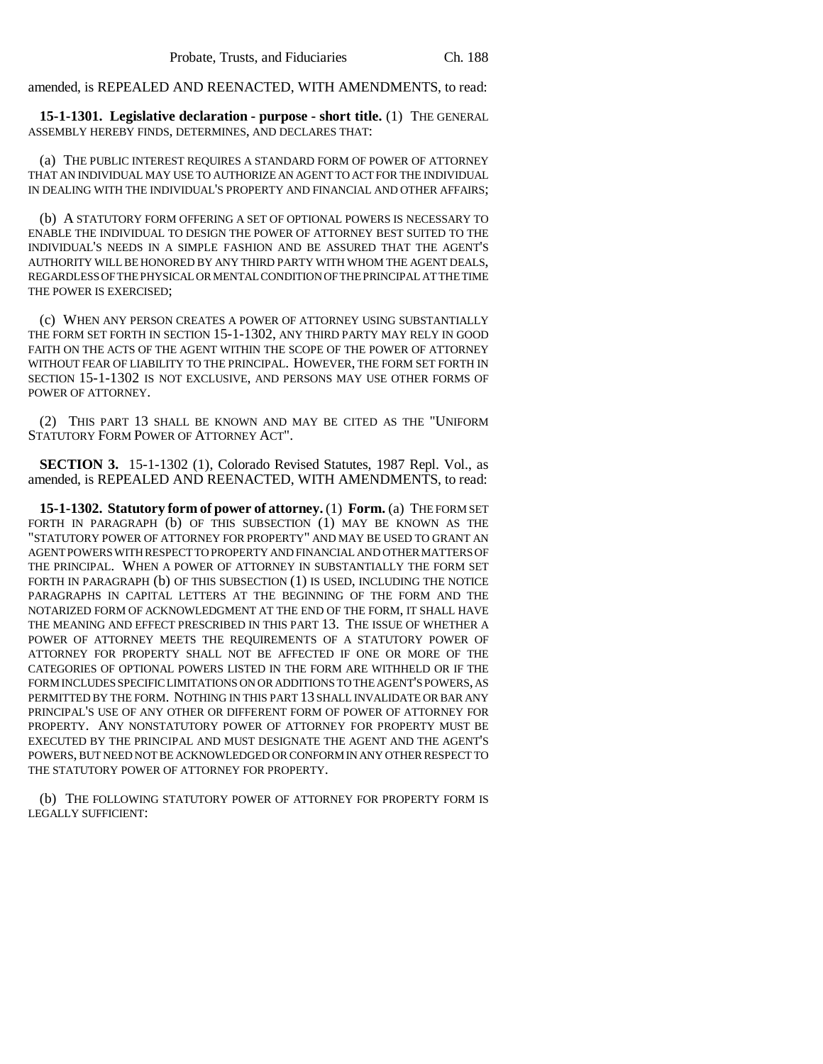amended, is REPEALED AND REENACTED, WITH AMENDMENTS, to read:

**15-1-1301. Legislative declaration - purpose - short title.** (1) THE GENERAL ASSEMBLY HEREBY FINDS, DETERMINES, AND DECLARES THAT:

(a) THE PUBLIC INTEREST REQUIRES A STANDARD FORM OF POWER OF ATTORNEY THAT AN INDIVIDUAL MAY USE TO AUTHORIZE AN AGENT TO ACT FOR THE INDIVIDUAL IN DEALING WITH THE INDIVIDUAL'S PROPERTY AND FINANCIAL AND OTHER AFFAIRS;

(b) A STATUTORY FORM OFFERING A SET OF OPTIONAL POWERS IS NECESSARY TO ENABLE THE INDIVIDUAL TO DESIGN THE POWER OF ATTORNEY BEST SUITED TO THE INDIVIDUAL'S NEEDS IN A SIMPLE FASHION AND BE ASSURED THAT THE AGENT'S AUTHORITY WILL BE HONORED BY ANY THIRD PARTY WITH WHOM THE AGENT DEALS, REGARDLESS OF THE PHYSICAL OR MENTAL CONDITION OF THE PRINCIPAL AT THE TIME THE POWER IS EXERCISED;

(c) WHEN ANY PERSON CREATES A POWER OF ATTORNEY USING SUBSTANTIALLY THE FORM SET FORTH IN SECTION 15-1-1302, ANY THIRD PARTY MAY RELY IN GOOD FAITH ON THE ACTS OF THE AGENT WITHIN THE SCOPE OF THE POWER OF ATTORNEY WITHOUT FEAR OF LIABILITY TO THE PRINCIPAL. HOWEVER, THE FORM SET FORTH IN SECTION 15-1-1302 IS NOT EXCLUSIVE, AND PERSONS MAY USE OTHER FORMS OF POWER OF ATTORNEY.

(2) THIS PART 13 SHALL BE KNOWN AND MAY BE CITED AS THE "UNIFORM STATUTORY FORM POWER OF ATTORNEY ACT".

**SECTION 3.** 15-1-1302 (1), Colorado Revised Statutes, 1987 Repl. Vol., as amended, is REPEALED AND REENACTED, WITH AMENDMENTS, to read:

**15-1-1302. Statutory form of power of attorney.** (1) **Form.** (a) THE FORM SET FORTH IN PARAGRAPH (b) OF THIS SUBSECTION (1) MAY BE KNOWN AS THE "STATUTORY POWER OF ATTORNEY FOR PROPERTY" AND MAY BE USED TO GRANT AN AGENT POWERS WITH RESPECT TO PROPERTY AND FINANCIAL AND OTHER MATTERS OF THE PRINCIPAL. WHEN A POWER OF ATTORNEY IN SUBSTANTIALLY THE FORM SET FORTH IN PARAGRAPH (b) OF THIS SUBSECTION (1) IS USED, INCLUDING THE NOTICE PARAGRAPHS IN CAPITAL LETTERS AT THE BEGINNING OF THE FORM AND THE NOTARIZED FORM OF ACKNOWLEDGMENT AT THE END OF THE FORM, IT SHALL HAVE THE MEANING AND EFFECT PRESCRIBED IN THIS PART 13. THE ISSUE OF WHETHER A POWER OF ATTORNEY MEETS THE REQUIREMENTS OF A STATUTORY POWER OF ATTORNEY FOR PROPERTY SHALL NOT BE AFFECTED IF ONE OR MORE OF THE CATEGORIES OF OPTIONAL POWERS LISTED IN THE FORM ARE WITHHELD OR IF THE FORM INCLUDES SPECIFIC LIMITATIONS ON OR ADDITIONS TO THE AGENT'S POWERS, AS PERMITTED BY THE FORM. NOTHING IN THIS PART 13 SHALL INVALIDATE OR BAR ANY PRINCIPAL'S USE OF ANY OTHER OR DIFFERENT FORM OF POWER OF ATTORNEY FOR PROPERTY. ANY NONSTATUTORY POWER OF ATTORNEY FOR PROPERTY MUST BE EXECUTED BY THE PRINCIPAL AND MUST DESIGNATE THE AGENT AND THE AGENT'S POWERS, BUT NEED NOT BE ACKNOWLEDGED OR CONFORM IN ANY OTHER RESPECT TO THE STATUTORY POWER OF ATTORNEY FOR PROPERTY.

(b) THE FOLLOWING STATUTORY POWER OF ATTORNEY FOR PROPERTY FORM IS LEGALLY SUFFICIENT: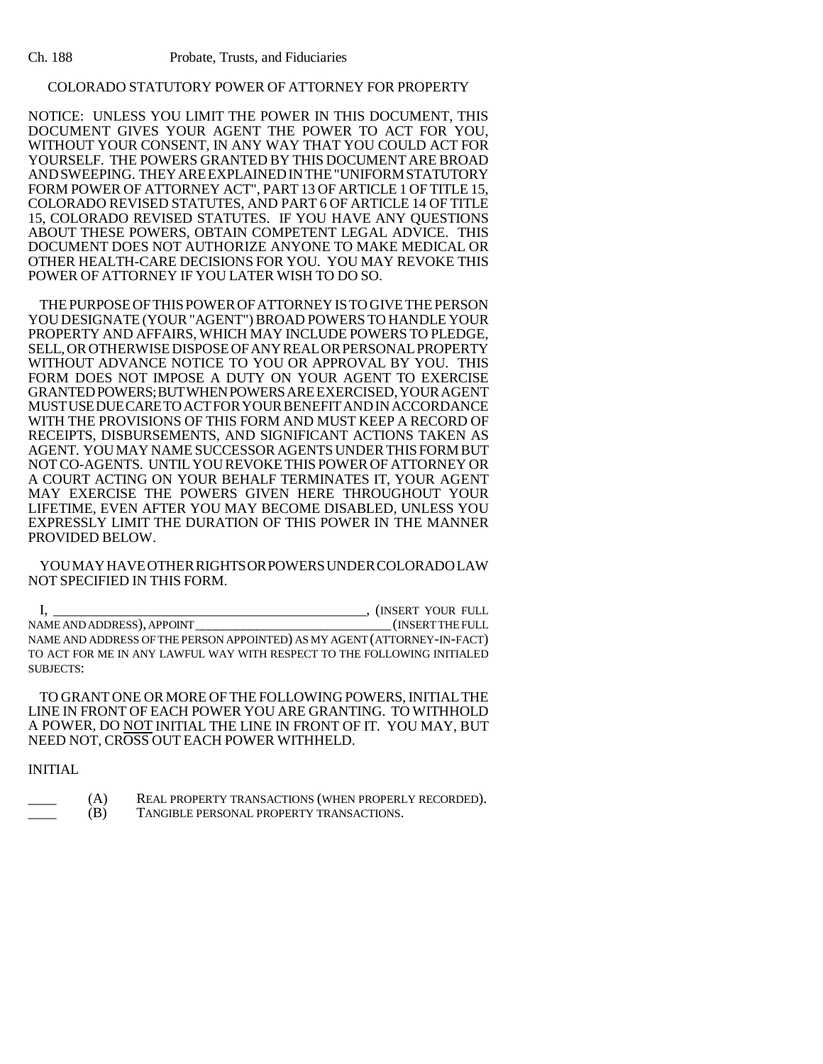# COLORADO STATUTORY POWER OF ATTORNEY FOR PROPERTY

NOTICE: UNLESS YOU LIMIT THE POWER IN THIS DOCUMENT, THIS DOCUMENT GIVES YOUR AGENT THE POWER TO ACT FOR YOU, WITHOUT YOUR CONSENT, IN ANY WAY THAT YOU COULD ACT FOR YOURSELF. THE POWERS GRANTED BY THIS DOCUMENT ARE BROAD ANDSWEEPING. THEYAREEXPLAINEDINTHE"UNIFORMSTATUTORY FORM POWER OF ATTORNEY ACT", PART 13 OF ARTICLE 1 OF TITLE 15, COLORADO REVISED STATUTES, AND PART 6 OF ARTICLE 14 OF TITLE 15, COLORADO REVISED STATUTES. IF YOU HAVE ANY QUESTIONS ABOUT THESE POWERS, OBTAIN COMPETENT LEGAL ADVICE. THIS DOCUMENT DOES NOT AUTHORIZE ANYONE TO MAKE MEDICAL OR OTHER HEALTH-CARE DECISIONS FOR YOU. YOU MAY REVOKE THIS POWER OF ATTORNEY IF YOU LATER WISH TO DO SO.

THEPURPOSEOFTHISPOWEROFATTORNEYISTOGIVETHEPERSON YOUDESIGNATE (YOUR"AGENT") BROAD POWERSTO HANDLE YOUR PROPERTY AND AFFAIRS, WHICH MAY INCLUDE POWERS TO PLEDGE, SELL,OROTHERWISEDISPOSEOFANYREALORPERSONALPROPERTY WITHOUT ADVANCE NOTICE TO YOU OR APPROVAL BY YOU. THIS FORM DOES NOT IMPOSE A DUTY ON YOUR AGENT TO EXERCISE GRANTEDPOWERS;BUTWHENPOWERSAREEXERCISED,YOURAGENT MUSTUSEDUECARETOACTFORYOURBENEFITANDINACCORDANCE WITH THE PROVISIONS OF THIS FORM AND MUST KEEP A RECORD OF RECEIPTS, DISBURSEMENTS, AND SIGNIFICANT ACTIONS TAKEN AS AGENT. YOUMAY NAME SUCCESSOR AGENTS UNDERTHISFORMBUT NOTCO-AGENTS. UNTILYOUREVOKE THIS POWER OF ATTORNEY OR A COURT ACTING ON YOUR BEHALF TERMINATES IT, YOUR AGENT MAY EXERCISE THE POWERS GIVEN HERE THROUGHOUT YOUR LIFETIME, EVEN AFTER YOU MAY BECOME DISABLED, UNLESS YOU EXPRESSLY LIMIT THE DURATION OF THIS POWER IN THE MANNER PROVIDED BELOW.

YOUMAYHAVEOTHERRIGHTSORPOWERSUNDERCOLORADOLAW NOT SPECIFIED IN THIS FORM.

I, \_\_\_\_\_\_\_\_\_\_\_\_\_\_\_\_\_\_\_\_\_\_\_\_\_\_\_\_\_\_\_\_\_\_\_\_\_\_\_\_\_\_\_\_, (INSERT YOUR FULL NAME AND ADDRESS), APPOINT NAME AND ADDRESS OF THE PERSON APPOINTED) AS MY AGENT (ATTORNEY-IN-FACT) TO ACT FOR ME IN ANY LAWFUL WAY WITH RESPECT TO THE FOLLOWING INITIALED SUBJECTS:

TO GRANT ONE OR MORE OFTHE FOLLOWING POWERS,INITIALTHE LINE IN FRONT OF EACH POWER YOU ARE GRANTING. TO WITHHOLD A POWER, DO NOT INITIAL THE LINE IN FRONT OF IT. YOU MAY, BUT NEED NOT, CROSS OUT EACH POWER WITHHELD.

# INITIAL

(A) REAL PROPERTY TRANSACTIONS (WHEN PROPERLY RECORDED). (B) TANGIBLE PERSONAL PROPERTY TRANSACTIONS.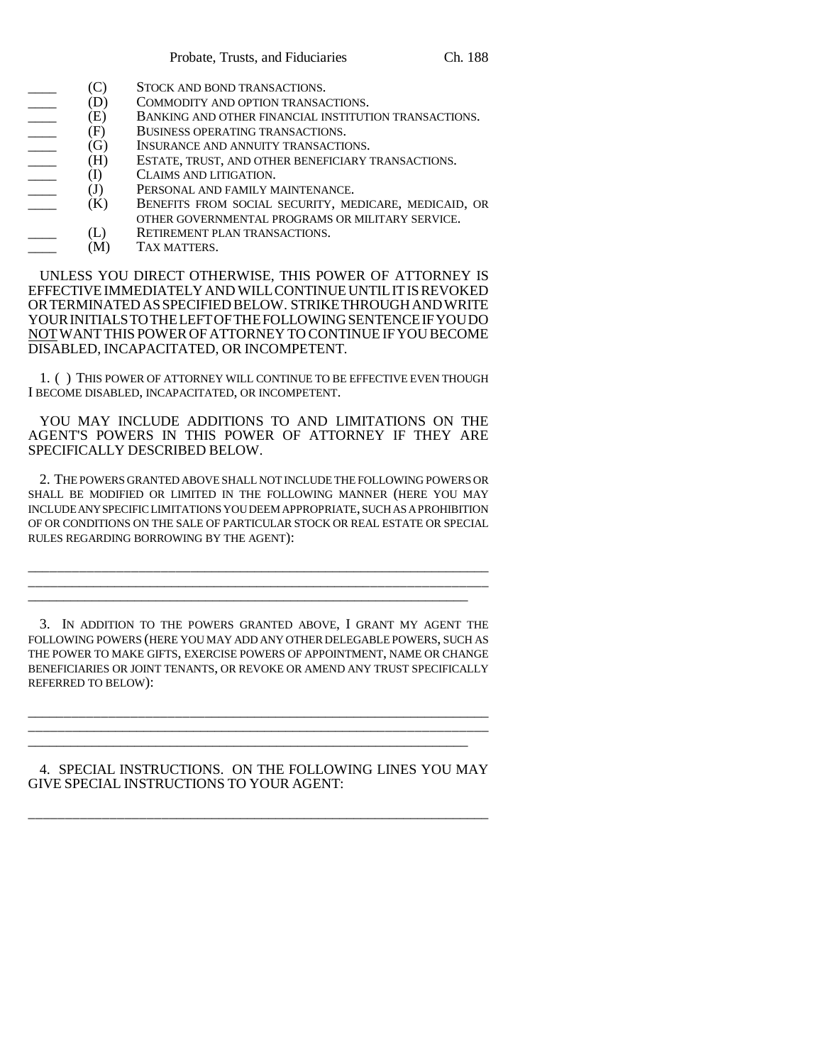(C) STOCK AND BOND TRANSACTIONS.<br>(D) COMMODITY AND OPTION TRANSAC

- 
- (E) BANKING AND OTHER FINANCIAL INSTITUTION TRANSACTIONS.<br>(F) BUSINESS OPERATING TRANSACTIONS.
- BUSINESS OPERATING TRANSACTIONS.
- \_\_\_\_ (G) INSURANCE AND ANNUITY TRANSACTIONS.
- \_\_\_\_ (H) ESTATE, TRUST, AND OTHER BENEFICIARY TRANSACTIONS.
- (I) CLAIMS AND LITIGATION.<br>(J) PERSONAL AND FAMILY M
- PERSONAL AND FAMILY MAINTENANCE.
- (D) COMMODITY AND OPTION TRANSACTIONS.<br>
(E) BANKING AND OTHER FINANCIAL INSTITUT<br>
(F) BUSINESS OPERATING TRANSACTIONS.<br>
(G) INSURANCE AND ANNUITY TRANSACTIONS.<br>
(H) ESTATE, TRUST, AND OTHER BENEFICIARY<br>
(I) CLAIMS AND LITI (K) BENEFITS FROM SOCIAL SECURITY, MEDICARE, MEDICAID, OR OTHER GOVERNMENTAL PROGRAMS OR MILITARY SERVICE.<br>
(L) RETIREMENT PLAN TRANSACTIONS.<br>
(M) TAX MATTERS. OTHER GOVERNMENTAL PROGRAMS OR MILITARY SERVICE. \_\_\_\_ (L) RETIREMENT PLAN TRANSACTIONS.
	- (M) TAX MATTERS.

UNLESS YOU DIRECT OTHERWISE, THIS POWER OF ATTORNEY IS EFFECTIVE IMMEDIATELY AND WILL CONTINUE UNTIL IT IS REVOKED ORTERMINATEDASSPECIFIEDBELOW. STRIKETHROUGHANDWRITE YOURINITIALSTOTHELEFTOFTHEFOLLOWINGSENTENCEIFYOUDO NOTWANTTHIS POWER OF ATTORNEY TO CONTINUE IFYOUBECOME DISABLED, INCAPACITATED, OR INCOMPETENT.

1. ( ) THIS POWER OF ATTORNEY WILL CONTINUE TO BE EFFECTIVE EVEN THOUGH I BECOME DISABLED, INCAPACITATED, OR INCOMPETENT.

YOU MAY INCLUDE ADDITIONS TO AND LIMITATIONS ON THE AGENT'S POWERS IN THIS POWER OF ATTORNEY IF THEY ARE SPECIFICALLY DESCRIBED BELOW.

2. THE POWERS GRANTED ABOVE SHALL NOT INCLUDE THE FOLLOWING POWERS OR SHALL BE MODIFIED OR LIMITED IN THE FOLLOWING MANNER (HERE YOU MAY INCLUDE ANY SPECIFIC LIMITATIONS YOU DEEM APPROPRIATE, SUCH AS A PROHIBITION OF OR CONDITIONS ON THE SALE OF PARTICULAR STOCK OR REAL ESTATE OR SPECIAL RULES REGARDING BORROWING BY THE AGENT):

\_\_\_\_\_\_\_\_\_\_\_\_\_\_\_\_\_\_\_\_\_\_\_\_\_\_\_\_\_\_\_\_\_\_\_\_\_\_\_\_\_\_\_\_\_\_\_\_\_\_\_\_\_\_\_\_\_\_\_\_\_\_\_\_ \_\_\_\_\_\_\_\_\_\_\_\_\_\_\_\_\_\_\_\_\_\_\_\_\_\_\_\_\_\_\_\_\_\_\_\_\_\_\_\_\_\_\_\_\_\_\_\_\_\_\_\_\_\_\_\_\_\_\_\_\_\_\_\_ \_\_\_\_\_\_\_\_\_\_\_\_\_\_\_\_\_\_\_\_\_\_\_\_\_\_\_\_\_\_\_\_\_\_\_\_\_\_\_\_\_\_\_\_\_\_\_\_\_\_\_\_\_\_\_\_\_\_\_\_\_\_

3. IN ADDITION TO THE POWERS GRANTED ABOVE, I GRANT MY AGENT THE FOLLOWING POWERS (HERE YOU MAY ADD ANY OTHER DELEGABLE POWERS, SUCH AS THE POWER TO MAKE GIFTS, EXERCISE POWERS OF APPOINTMENT, NAME OR CHANGE BENEFICIARIES OR JOINT TENANTS, OR REVOKE OR AMEND ANY TRUST SPECIFICALLY REFERRED TO BELOW):

\_\_\_\_\_\_\_\_\_\_\_\_\_\_\_\_\_\_\_\_\_\_\_\_\_\_\_\_\_\_\_\_\_\_\_\_\_\_\_\_\_\_\_\_\_\_\_\_\_\_\_\_\_\_\_\_\_\_\_\_\_\_\_\_ \_\_\_\_\_\_\_\_\_\_\_\_\_\_\_\_\_\_\_\_\_\_\_\_\_\_\_\_\_\_\_\_\_\_\_\_\_\_\_\_\_\_\_\_\_\_\_\_\_\_\_\_\_\_\_\_\_\_\_\_\_\_\_\_ \_\_\_\_\_\_\_\_\_\_\_\_\_\_\_\_\_\_\_\_\_\_\_\_\_\_\_\_\_\_\_\_\_\_\_\_\_\_\_\_\_\_\_\_\_\_\_\_\_\_\_\_\_\_\_\_\_\_\_\_\_\_

4. SPECIAL INSTRUCTIONS. ON THE FOLLOWING LINES YOU MAY GIVE SPECIAL INSTRUCTIONS TO YOUR AGENT:

\_\_\_\_\_\_\_\_\_\_\_\_\_\_\_\_\_\_\_\_\_\_\_\_\_\_\_\_\_\_\_\_\_\_\_\_\_\_\_\_\_\_\_\_\_\_\_\_\_\_\_\_\_\_\_\_\_\_\_\_\_\_\_\_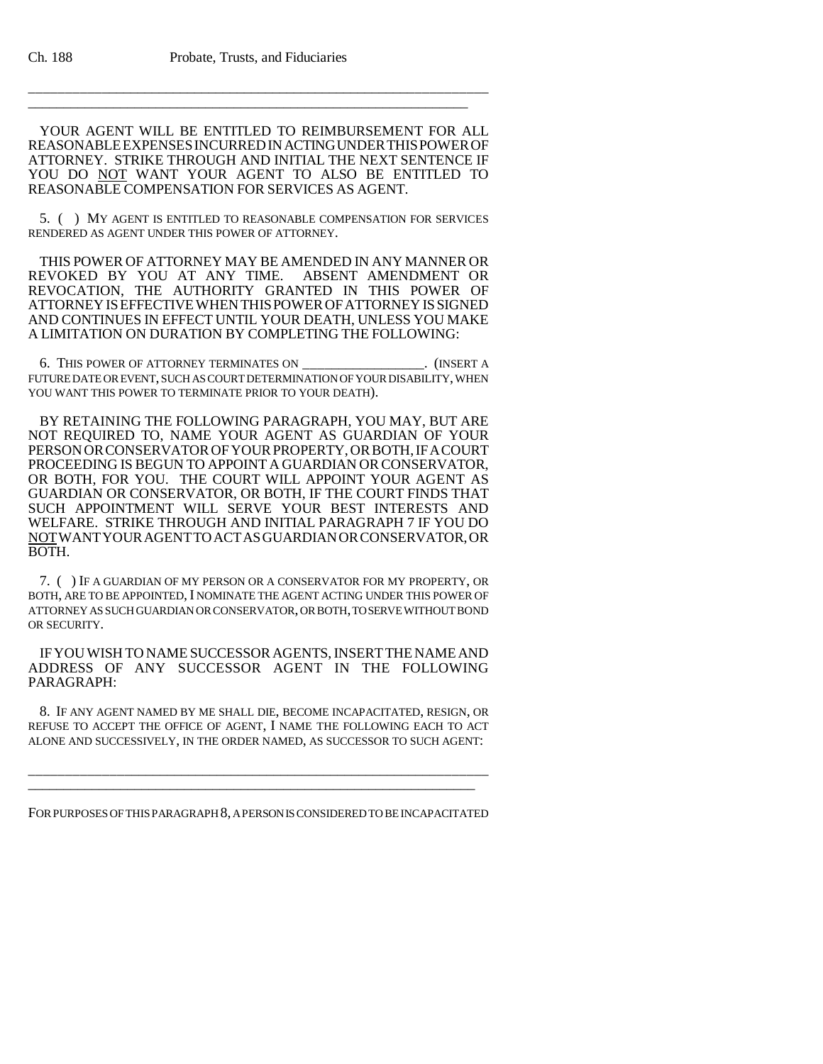\_\_\_\_\_\_\_\_\_\_\_\_\_\_\_\_\_\_\_\_\_\_\_\_\_\_\_\_\_\_\_\_\_\_\_\_\_\_\_\_\_\_\_\_\_\_\_\_\_\_\_\_\_\_\_\_\_\_\_\_\_\_\_\_ \_\_\_\_\_\_\_\_\_\_\_\_\_\_\_\_\_\_\_\_\_\_\_\_\_\_\_\_\_\_\_\_\_\_\_\_\_\_\_\_\_\_\_\_\_\_\_\_\_\_\_\_\_\_\_\_\_\_\_\_\_\_

YOUR AGENT WILL BE ENTITLED TO REIMBURSEMENT FOR ALL REASONABLEEXPENSESINCURREDINACTINGUNDERTHISPOWEROF ATTORNEY. STRIKE THROUGH AND INITIAL THE NEXT SENTENCE IF YOU DO NOT WANT YOUR AGENT TO ALSO BE ENTITLED TO REASONABLE COMPENSATION FOR SERVICES AS AGENT.

5. ( ) MY AGENT IS ENTITLED TO REASONABLE COMPENSATION FOR SERVICES RENDERED AS AGENT UNDER THIS POWER OF ATTORNEY.

THIS POWER OF ATTORNEY MAY BE AMENDED IN ANY MANNER OR REVOKED BY YOU AT ANY TIME. ABSENT AMENDMENT OR REVOCATION, THE AUTHORITY GRANTED IN THIS POWER OF ATTORNEY IS EFFECTIVE WHEN THIS POWER OF ATTORNEY IS SIGNED AND CONTINUES IN EFFECT UNTIL YOUR DEATH, UNLESS YOU MAKE A LIMITATION ON DURATION BY COMPLETING THE FOLLOWING:

6. THIS POWER OF ATTORNEY TERMINATES ON  $\blacksquare$  (INSERT A FUTURE DATE OR EVENT, SUCH AS COURT DETERMINATION OF YOUR DISABILITY, WHEN YOU WANT THIS POWER TO TERMINATE PRIOR TO YOUR DEATH).

BY RETAINING THE FOLLOWING PARAGRAPH, YOU MAY, BUT ARE NOT REQUIRED TO, NAME YOUR AGENT AS GUARDIAN OF YOUR PERSON OR CONSERVATOR OF YOUR PROPERTY, OR BOTH, IF A COURT PROCEEDING IS BEGUN TO APPOINT A GUARDIAN OR CONSERVATOR, OR BOTH, FOR YOU. THE COURT WILL APPOINT YOUR AGENT AS GUARDIAN OR CONSERVATOR, OR BOTH, IF THE COURT FINDS THAT SUCH APPOINTMENT WILL SERVE YOUR BEST INTERESTS AND WELFARE. STRIKE THROUGH AND INITIAL PARAGRAPH 7 IF YOU DO NOTWANTYOURAGENTTOACTASGUARDIANORCONSERVATOR,OR BOTH.

7. ( ) IF A GUARDIAN OF MY PERSON OR A CONSERVATOR FOR MY PROPERTY, OR BOTH, ARE TO BE APPOINTED, I NOMINATE THE AGENT ACTING UNDER THIS POWER OF ATTORNEY AS SUCH GUARDIAN OR CONSERVATOR, OR BOTH, TO SERVE WITHOUT BOND OR SECURITY.

IF YOU WISH TO NAME SUCCESSOR AGENTS, INSERT THE NAME AND ADDRESS OF ANY SUCCESSOR AGENT IN THE FOLLOWING PARAGRAPH:

8. IF ANY AGENT NAMED BY ME SHALL DIE, BECOME INCAPACITATED, RESIGN, OR REFUSE TO ACCEPT THE OFFICE OF AGENT, I NAME THE FOLLOWING EACH TO ACT ALONE AND SUCCESSIVELY, IN THE ORDER NAMED, AS SUCCESSOR TO SUCH AGENT:

FOR PURPOSES OF THIS PARAGRAPH 8, A PERSON IS CONSIDERED TO BE INCAPACITATED

\_\_\_\_\_\_\_\_\_\_\_\_\_\_\_\_\_\_\_\_\_\_\_\_\_\_\_\_\_\_\_\_\_\_\_\_\_\_\_\_\_\_\_\_\_\_\_\_\_\_\_\_\_\_\_\_\_\_\_\_\_\_\_\_ \_\_\_\_\_\_\_\_\_\_\_\_\_\_\_\_\_\_\_\_\_\_\_\_\_\_\_\_\_\_\_\_\_\_\_\_\_\_\_\_\_\_\_\_\_\_\_\_\_\_\_\_\_\_\_\_\_\_\_\_\_\_\_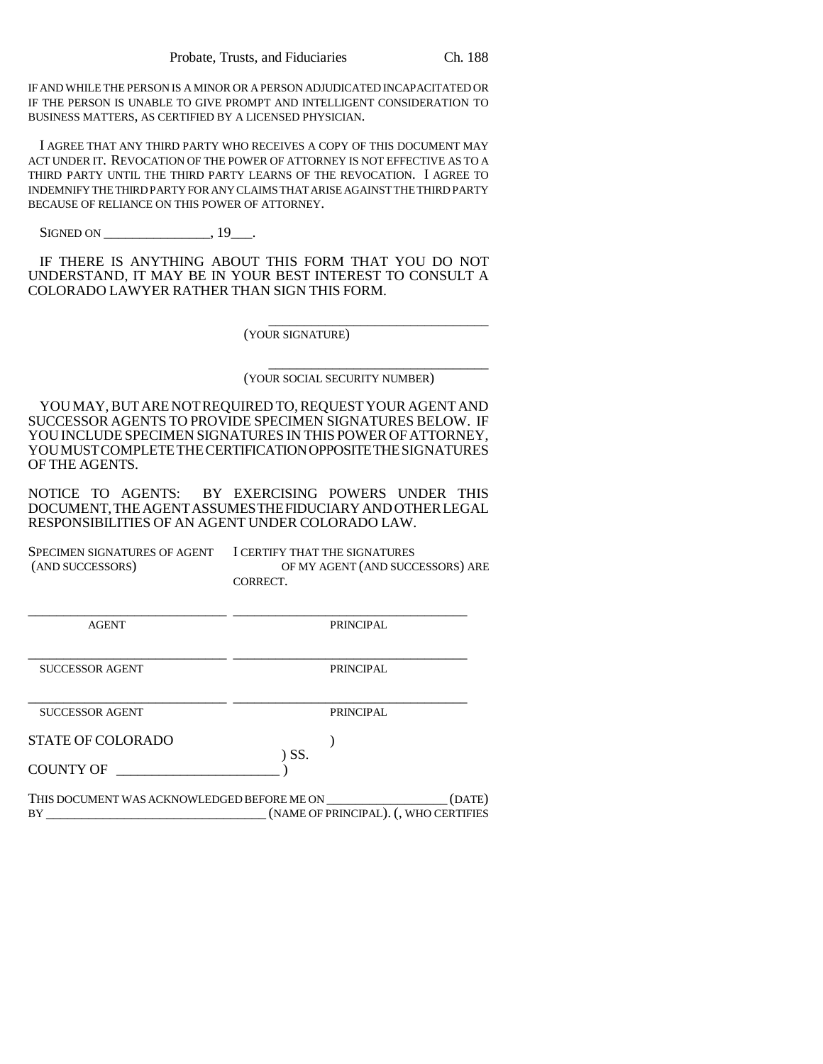IF AND WHILE THE PERSON IS A MINOR OR A PERSON ADJUDICATED INCAPACITATED OR IF THE PERSON IS UNABLE TO GIVE PROMPT AND INTELLIGENT CONSIDERATION TO BUSINESS MATTERS, AS CERTIFIED BY A LICENSED PHYSICIAN.

I AGREE THAT ANY THIRD PARTY WHO RECEIVES A COPY OF THIS DOCUMENT MAY ACT UNDER IT. REVOCATION OF THE POWER OF ATTORNEY IS NOT EFFECTIVE AS TO A THIRD PARTY UNTIL THE THIRD PARTY LEARNS OF THE REVOCATION. I AGREE TO INDEMNIFY THE THIRD PARTY FOR ANY CLAIMS THAT ARISE AGAINST THE THIRD PARTY BECAUSE OF RELIANCE ON THIS POWER OF ATTORNEY.

 $S$ IGNED ON  $\_\_\_\_\_\$ , 19 $\_\_\_\$ .

IF THERE IS ANYTHING ABOUT THIS FORM THAT YOU DO NOT UNDERSTAND, IT MAY BE IN YOUR BEST INTEREST TO CONSULT A COLORADO LAWYER RATHER THAN SIGN THIS FORM.

(YOUR SIGNATURE)

\_\_\_\_\_\_\_\_\_\_\_\_\_\_\_\_\_\_\_\_\_\_\_\_\_\_\_\_\_\_\_ (YOUR SOCIAL SECURITY NUMBER)

\_\_\_\_\_\_\_\_\_\_\_\_\_\_\_\_\_\_\_\_\_\_\_\_\_\_\_\_\_\_\_

YOUMAY,BUTARENOTREQUIRED TO,REQUESTYOUR AGENTAND SUCCESSOR AGENTS TO PROVIDE SPECIMEN SIGNATURES BELOW. IF YOU INCLUDE SPECIMEN SIGNATURES IN THIS POWER OF ATTORNEY, YOUMUSTCOMPLETETHECERTIFICATIONOPPOSITETHESIGNATURES OF THE AGENTS.

NOTICE TO AGENTS: BY EXERCISING POWERS UNDER THIS DOCUMENT,THEAGENTASSUMESTHEFIDUCIARYANDOTHERLEGAL RESPONSIBILITIES OF AN AGENT UNDER COLORADO LAW.

\_\_\_\_\_\_\_\_\_\_\_\_\_\_\_\_\_\_\_\_\_\_\_\_\_\_\_\_ \_\_\_\_\_\_\_\_\_\_\_\_\_\_\_\_\_\_\_\_\_\_\_\_\_\_\_\_\_\_\_\_\_

\_\_\_\_\_\_\_\_\_\_\_\_\_\_\_\_\_\_\_\_\_\_\_\_\_\_\_\_ \_\_\_\_\_\_\_\_\_\_\_\_\_\_\_\_\_\_\_\_\_\_\_\_\_\_\_\_\_\_\_\_\_

| SPECIMEN SIGNATURES OF AGENT | I CERTIFY THAT THE SIGNATURES    |
|------------------------------|----------------------------------|
| (AND SUCCESSORS)             | OF MY AGENT (AND SUCCESSORS) ARE |
|                              | CORRECT.                         |

AGENT PRINCIPAL

SUCCESSOR AGENT PRINCIPAL

\_\_\_\_\_\_\_\_\_\_\_\_\_\_\_\_\_\_\_\_\_\_\_\_\_\_\_\_ \_\_\_\_\_\_\_\_\_\_\_\_\_\_\_\_\_\_\_\_\_\_\_\_\_\_\_\_\_\_\_\_\_

SUCCESSOR AGENT PRINCIPAL

STATE OF COLORADO (1999)

COUNTY OF

THIS DOCUMENT WAS ACKNOWLEDGED BEFORE ME ON \_\_\_\_\_\_\_\_\_\_\_\_\_\_\_\_\_ (DATE) BY \_\_\_\_\_\_\_\_\_\_\_\_\_\_\_\_\_\_\_\_\_\_\_\_\_\_\_\_\_\_\_ (NAME OF PRINCIPAL). (, WHO CERTIFIES

) SS.